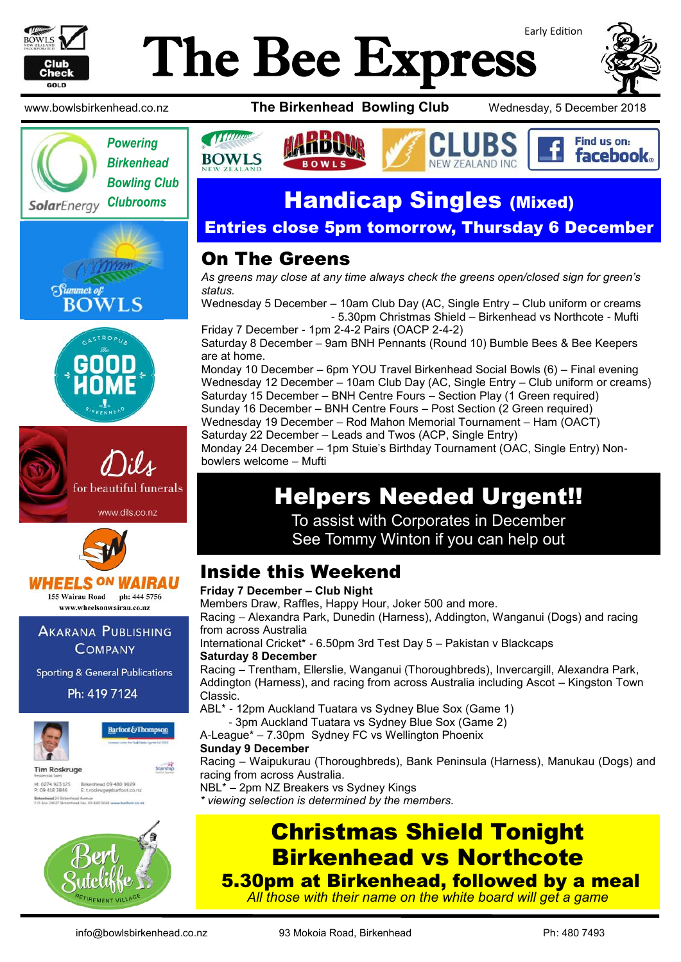

# Early Edition The Bee Express















**AKARANA PUBLISHING COMPANY** 

**Sporting & General Publications** 

Ph: 419 7124





**Starship** 

**Tim Roskruge** M: 0274 923 125 Birkenhead 09 480 9029<br>P: 09 418 3846 Etroskruge@barfoot.co.nz Birkenhead 24 Briteri<br>P O Box 34027 Birken



www.bowlsbirkenhead.co.nz **The Birkenhead Bowling Club** Wednesday, 5 December 2018





## Handicap Singles (Mixed)

#### Entries close 5pm tomorrow, Thursday 6 December

#### On The Greens

*As greens may close at any time always check the greens open/closed sign for green's status.*

Wednesday 5 December – 10am Club Day (AC, Single Entry – Club uniform or creams - 5.30pm Christmas Shield – Birkenhead vs Northcote - Mufti

Friday 7 December - 1pm 2-4-2 Pairs (OACP 2-4-2) Saturday 8 December – 9am BNH Pennants (Round 10) Bumble Bees & Bee Keepers are at home.

Monday 10 December – 6pm YOU Travel Birkenhead Social Bowls (6) – Final evening Wednesday 12 December – 10am Club Day (AC, Single Entry – Club uniform or creams) Saturday 15 December - BNH Centre Fours - Section Play (1 Green required) Sunday 16 December – BNH Centre Fours – Post Section (2 Green required) Wednesday 19 December – Rod Mahon Memorial Tournament – Ham (OACT) Saturday 22 December – Leads and Twos (ACP, Single Entry)

Monday 24 December – 1pm Stuie's Birthday Tournament (OAC, Single Entry) Nonbowlers welcome – Mufti

## Helpers Needed Urgent!!

To assist with Corporates in December See Tommy Winton if you can help out

### Inside this Weekend

Christmas Shield Tonight Birkenhead vs Northcote **Friday 7 December – Club Night** Members Draw, Raffles, Happy Hour, Joker 500 and more. Racing – Alexandra Park, Dunedin (Harness), Addington, Wanganui (Dogs) and racing from across Australia International Cricket\* - 6.50pm 3rd Test Day 5 – Pakistan v Blackcaps **Saturday 8 December** Racing – Trentham, Ellerslie, Wanganui (Thoroughbreds), Invercargill, Alexandra Park, Addington (Harness), and racing from across Australia including Ascot – Kingston Town Classic. ABL\* - 12pm Auckland Tuatara vs Sydney Blue Sox (Game 1) - 3pm Auckland Tuatara vs Sydney Blue Sox (Game 2) A-League\* – 7.30pm Sydney FC vs Wellington Phoenix **Sunday 9 December** Racing – Waipukurau (Thoroughbreds), Bank Peninsula (Harness), Manukau (Dogs) and racing from across Australia. NBL\* – 2pm NZ Breakers vs Sydney Kings *\* viewing selection is determined by the members.*

5.30pm at Birkenhead, followed by a meal *All those with their name on the white board will get a game*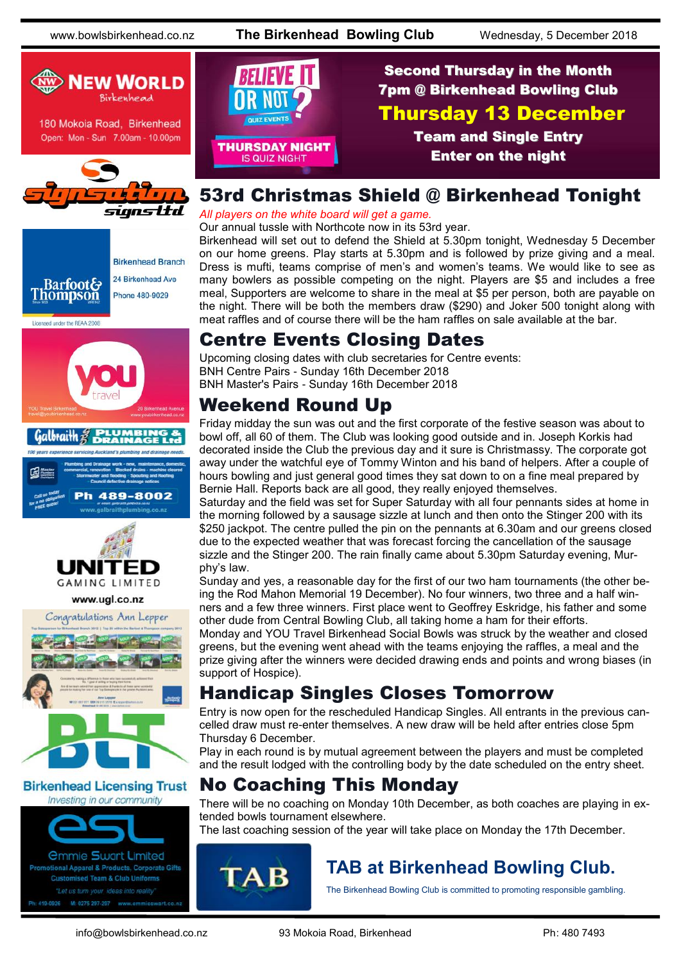www.bowlsbirkenhead.co.nz **The Birkenhead Bowling Club** Wednesday, 5 December 2018



180 Mokoia Road, Birkenhead Open: Mon - Sun 7.00am - 10.00pm









#### www.ugl.co.nz



#### **Birkenhead Licensing Trust** Investing in our community

*<u>Ommie Swart Limited</u>* 

Promotional Apparel & Products, Corporate Gifts **Customised Team & Club Uniforms** 



#### Second Thursday in the Month 7pm @ Birkenhead Bowling Club Thursday 13 December Team and Single Entry Enter on the night

#### 53rd Christmas Shield @ Birkenhead Tonight

*All players on the white board will get a game.*

Our annual tussle with Northcote now in its 53rd year.

Birkenhead will set out to defend the Shield at 5.30pm tonight, Wednesday 5 December on our home greens. Play starts at 5.30pm and is followed by prize giving and a meal. Dress is mufti, teams comprise of men's and women's teams. We would like to see as many bowlers as possible competing on the night. Players are \$5 and includes a free meal, Supporters are welcome to share in the meal at \$5 per person, both are payable on the night. There will be both the members draw (\$290) and Joker 500 tonight along with meat raffles and of course there will be the ham raffles on sale available at the bar.

### Centre Events Closing Dates

Upcoming closing dates with club secretaries for Centre events: BNH Centre Pairs - Sunday 16th December 2018 BNH Master's Pairs - Sunday 16th December 2018

#### Weekend Round Up

Friday midday the sun was out and the first corporate of the festive season was about to bowl off, all 60 of them. The Club was looking good outside and in. Joseph Korkis had decorated inside the Club the previous day and it sure is Christmassy. The corporate got away under the watchful eye of Tommy Winton and his band of helpers. After a couple of hours bowling and just general good times they sat down to on a fine meal prepared by Bernie Hall. Reports back are all good, they really enjoyed themselves.

Saturday and the field was set for Super Saturday with all four pennants sides at home in the morning followed by a sausage sizzle at lunch and then onto the Stinger 200 with its \$250 jackpot. The centre pulled the pin on the pennants at 6.30am and our greens closed due to the expected weather that was forecast forcing the cancellation of the sausage sizzle and the Stinger 200. The rain finally came about 5.30pm Saturday evening, Murphy's law.

Sunday and yes, a reasonable day for the first of our two ham tournaments (the other being the Rod Mahon Memorial 19 December). No four winners, two three and a half winners and a few three winners. First place went to Geoffrey Eskridge, his father and some other dude from Central Bowling Club, all taking home a ham for their efforts.

Monday and YOU Travel Birkenhead Social Bowls was struck by the weather and closed greens, but the evening went ahead with the teams enjoying the raffles, a meal and the prize giving after the winners were decided drawing ends and points and wrong biases (in support of Hospice).

#### Handicap Singles Closes Tomorrow

Entry is now open for the rescheduled Handicap Singles. All entrants in the previous cancelled draw must re-enter themselves. A new draw will be held after entries close 5pm Thursday 6 December.

Play in each round is by mutual agreement between the players and must be completed and the result lodged with the controlling body by the date scheduled on the entry sheet.

### No Coaching This Monday

There will be no coaching on Monday 10th December, as both coaches are playing in extended bowls tournament elsewhere.

The last coaching session of the year will take place on Monday the 17th December.



## **TAB at Birkenhead Bowling Club.**

The Birkenhead Bowling Club is committed to promoting responsible gambling.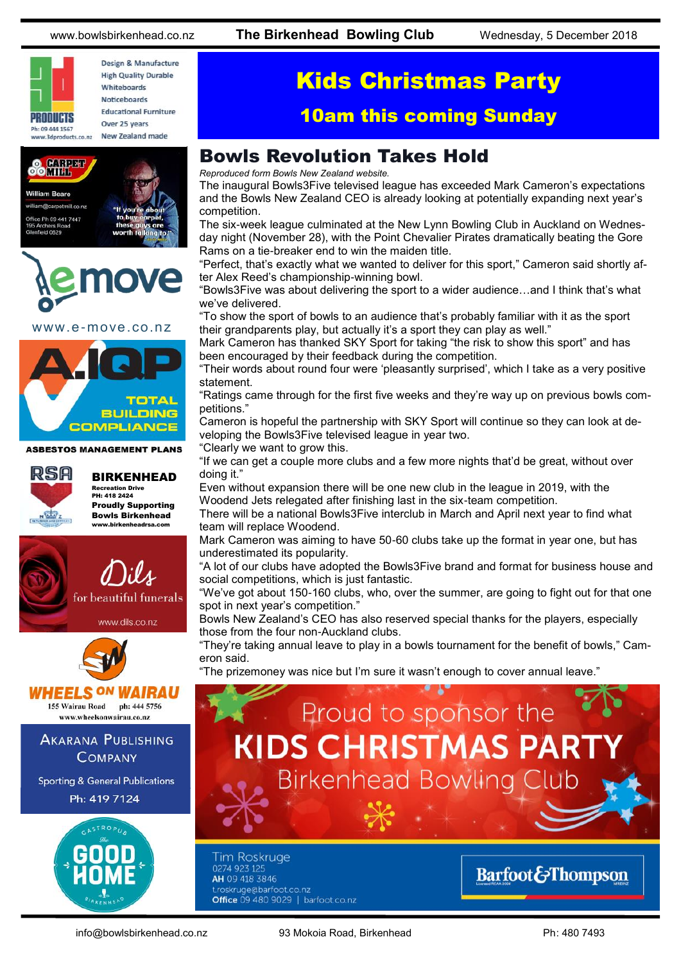

Design & Manufacture **High Quality Durable** Whitehoards Noticeboards **Educational Furniture** Over 25 years New Zealand made





www.e-move.co.nz



**ASBESTOS MANAGEMENT PLANS** 



BIRKENHEAD Recreation Drive PH: 418 2424 Proudly Supporting Bowls Birkenhead

www.birkenheadrsa.com



www.dils.co.nz





www.wheelsonwairau.co.nz

#### **AKARANA PUBLISHING COMPANY**

**Sporting & General Publications** Ph: 419 7124



# Kids Christmas Party

#### 10am this coming Sunday

#### Bowls Revolution Takes Hold

*Reproduced form Bowls New Zealand website.*

The inaugural Bowls3Five televised league has exceeded Mark Cameron's expectations and the Bowls New Zealand CEO is already looking at potentially expanding next year's competition.

The six-week league culminated at the New Lynn Bowling Club in Auckland on Wednesday night (November 28), with the Point Chevalier Pirates dramatically beating the Gore Rams on a tie-breaker end to win the maiden title.

"Perfect, that's exactly what we wanted to deliver for this sport," Cameron said shortly after Alex Reed's championship-winning bowl.

"Bowls3Five was about delivering the sport to a wider audience…and I think that's what we've delivered.

"To show the sport of bowls to an audience that's probably familiar with it as the sport their grandparents play, but actually it's a sport they can play as well."

Mark Cameron has thanked SKY Sport for taking "the risk to show this sport" and has been encouraged by their feedback during the competition.

"Their words about round four were 'pleasantly surprised', which I take as a very positive statement.

"Ratings came through for the first five weeks and they're way up on previous bowls competitions."

Cameron is hopeful the partnership with SKY Sport will continue so they can look at developing the Bowls3Five televised league in year two.

"Clearly we want to grow this.

"If we can get a couple more clubs and a few more nights that'd be great, without over doing it."

Even without expansion there will be one new club in the league in 2019, with the Woodend Jets relegated after finishing last in the six-team competition.

There will be a national Bowls3Five interclub in March and April next year to find what team will replace Woodend.

Mark Cameron was aiming to have 50-60 clubs take up the format in year one, but has underestimated its popularity.

"A lot of our clubs have adopted the Bowls3Five brand and format for business house and social competitions, which is just fantastic.

"We've got about 150-160 clubs, who, over the summer, are going to fight out for that one spot in next year's competition."

Bowls New Zealand's CEO has also reserved special thanks for the players, especially those from the four non-Auckland clubs.

"They're taking annual leave to play in a bowls tournament for the benefit of bowls," Cameron said.

"The prizemoney was nice but I'm sure it wasn't enough to cover annual leave."



0274 923 125 AH 09 418 3846 t.roskruge@barfoot.co.nz Office 09 480 9029 | barfoot.co.nz

#### **Barfoot&Thompson**